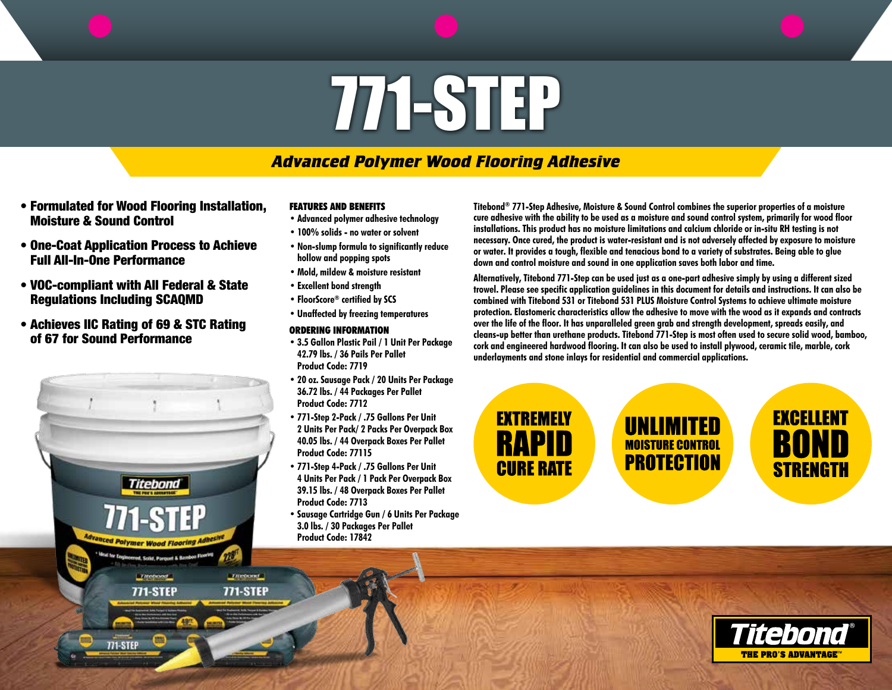# 771-STEP

# *Advanced Polymer Wood Flooring Adhesive*

- Formulated for Wood Flooring Installation, Moisture & Sound Control
- One-Coat Application Process to Achieve Full All-In-One Performance
- VOC-compliant with All Federal & State Regulations Including SCAQMD
- Achieves IIC Rating of 69 & STC Rating of 67 for Sound Performance



## **FEATURES AND BENEFITS**

- **• Advanced polymer adhesive technology**
- **• 100% solids no water or solvent**
- **• Non-slump formula to significantly reduce hollow and popping spots**
- **• Mold, mildew & moisture resistant**
- **• Excellent bond strength**
- **• FloorScore® certified by SCS**
- **• Unaffected by freezing temperatures**
- **ORDERING INFORMATION**
- **• 3.5 Gallon Plastic Pail / 1 Unit Per Package 42.79 lbs. / 36 Pails Per Pallet Product Code: 7719**
- **• 20 oz. Sausage Pack / 20 Units Per Package 36.72 lbs. / 44 Packages Per Pallet Product Code: 7712**
- **• 771-Step 2-Pack / .75 Gallons Per Unit 2 Units Per Pack/ 2 Packs Per Overpack Box 40.05 lbs. / 44 Overpack Boxes Per Pallet Product Code: 77115**
- **• 771-Step 4-Pack / .75 Gallons Per Unit 4 Units Per Pack / 1 Pack Per Overpack Box 39.15 lbs. / 48 Overpack Boxes Per Pallet Product Code: 7713**
- **• Sausage Cartridge Gun / 6 Units Per Package 3.0 lbs. / 30 Packages Per Pallet Product Code: 17842**

**Titebond® 771-Step Adhesive, Moisture & Sound Control combines the superior properties of a moisture cure adhesive with the ability to be used as a moisture and sound control system, primarily for wood floor installations. This product has no moisture limitations and calcium chloride or in-situ RH testing is not necessary. Once cured, the product is water-resistant and is not adversely affected by exposure to moisture or water. It provides a tough, flexible and tenacious bond to a variety of substrates. Being able to glue down and control moisture and sound in one application saves both labor and time.** 

**Alternatively, Titebond 771-Step can be used just as a one-part adhesive simply by using a different sized trowel. Please see specific application guidelines in this document for details and instructions. It can also be combined with Titebond 531 or Titebond 531 PLUS Moisture Control Systems to achieve ultimate moisture protection. Elastomeric characteristics allow the adhesive to move with the wood as it expands and contracts over the life of the floor. It has unparalleled green grab and strength development, spreads easily, and cleans-up better than urethane products. Titebond 771-Step is most often used to secure solid wood, bamboo, cork and engineered hardwood flooring. It can also be used to install plywood, ceramic tile, marble, cork underlayments and stone inlays for residential and commercial applications.**

**EXTREMELY RAPID CURE RATE** 

UNLIMITED **MOISTURE CONTRO PROTECTION** 

**EXCELLENT BOND STRENGTH**